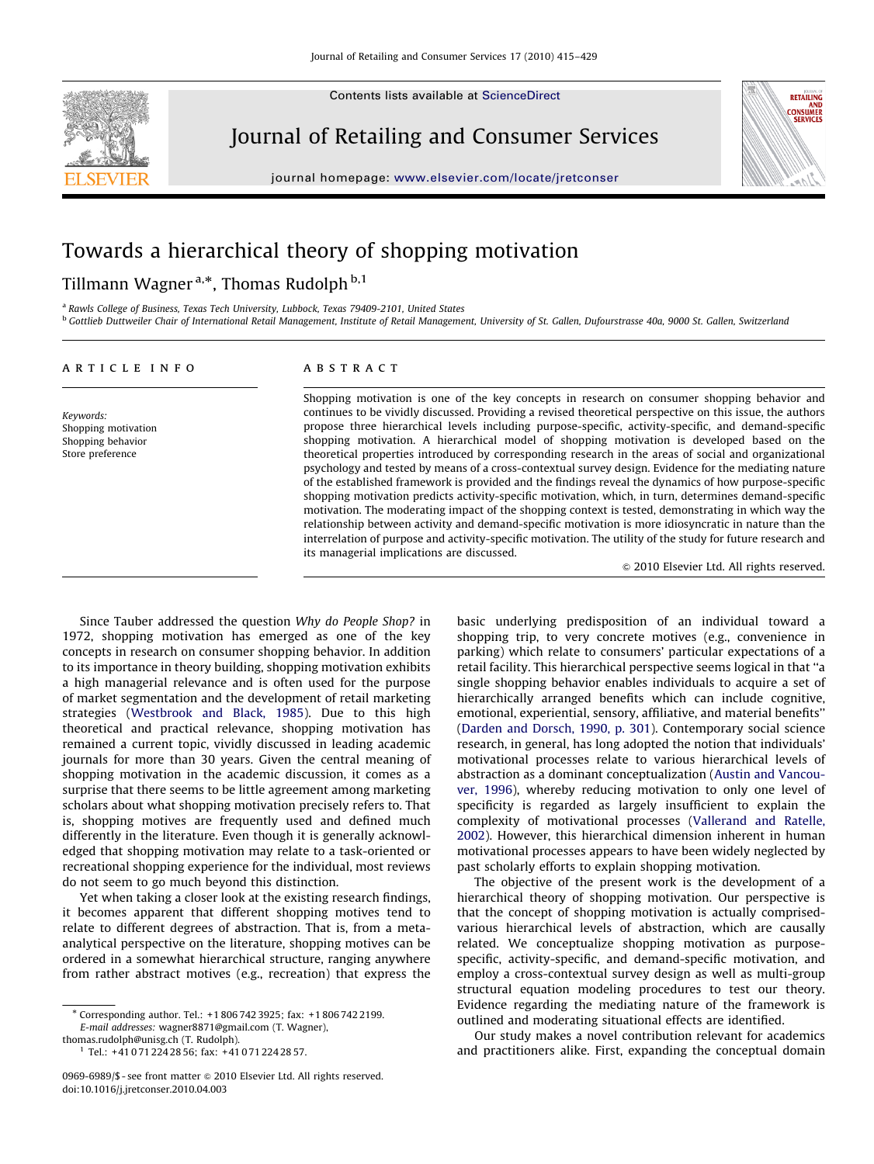

Contents lists available at ScienceDirect

### Journal of Retailing and Consumer Services



journal homepage: <www.elsevier.com/locate/jretconser>

# Towards a hierarchical theory of shopping motivation

## Tillmann Wagner <sup>a,\*</sup>, Thomas Rudolph <sup>b,1</sup>

<sup>a</sup> Rawls College of Business, Texas Tech University, Lubbock, Texas 79409-2101, United States <sup>b</sup> Gottlieb Duttweiler Chair of International Retail Management, Institute of Retail Management, University of St. Gallen, Dufourstrasse 40a, 9000 St. Gallen, Switzerland

Keywords: Shopping motivation Shopping behavior Store preference

article info

### ABSTRACT

Shopping motivation is one of the key concepts in research on consumer shopping behavior and continues to be vividly discussed. Providing a revised theoretical perspective on this issue, the authors propose three hierarchical levels including purpose-specific, activity-specific, and demand-specific shopping motivation. A hierarchical model of shopping motivation is developed based on the theoretical properties introduced by corresponding research in the areas of social and organizational psychology and tested by means of a cross-contextual survey design. Evidence for the mediating nature of the established framework is provided and the findings reveal the dynamics of how purpose-specific shopping motivation predicts activity-specific motivation, which, in turn, determines demand-specific motivation. The moderating impact of the shopping context is tested, demonstrating in which way the relationship between activity and demand-specific motivation is more idiosyncratic in nature than the interrelation of purpose and activity-specific motivation. The utility of the study for future research and its managerial implications are discussed.

 $\odot$  2010 Elsevier Ltd. All rights reserved.

Since Tauber addressed the question Why do People Shop? in 1972, shopping motivation has emerged as one of the key concepts in research on consumer shopping behavior. In addition to its importance in theory building, shopping motivation exhibits a high managerial relevance and is often used for the purpose of market segmentation and the development of retail marketing strategies [\(Westbrook and Black, 1985](#page--1-0)). Due to this high theoretical and practical relevance, shopping motivation has remained a current topic, vividly discussed in leading academic journals for more than 30 years. Given the central meaning of shopping motivation in the academic discussion, it comes as a surprise that there seems to be little agreement among marketing scholars about what shopping motivation precisely refers to. That is, shopping motives are frequently used and defined much differently in the literature. Even though it is generally acknowledged that shopping motivation may relate to a task-oriented or recreational shopping experience for the individual, most reviews do not seem to go much beyond this distinction.

Yet when taking a closer look at the existing research findings, it becomes apparent that different shopping motives tend to relate to different degrees of abstraction. That is, from a metaanalytical perspective on the literature, shopping motives can be ordered in a somewhat hierarchical structure, ranging anywhere from rather abstract motives (e.g., recreation) that express the

[thomas.rudolph@unisg.ch \(T. Rudolph\).](mailto:thomas.rudolph@unisg.ch) <sup>1</sup> Tel.: +41 0 71 224 28 56; fax: +41 0 71 224 28 57. basic underlying predisposition of an individual toward a shopping trip, to very concrete motives (e.g., convenience in parking) which relate to consumers' particular expectations of a retail facility. This hierarchical perspective seems logical in that ''a single shopping behavior enables individuals to acquire a set of hierarchically arranged benefits which can include cognitive, emotional, experiential, sensory, affiliative, and material benefits'' ([Darden and Dorsch, 1990, p. 301\)](#page--1-0). Contemporary social science research, in general, has long adopted the notion that individuals' motivational processes relate to various hierarchical levels of abstraction as a dominant conceptualization ([Austin and Vancou](#page--1-0)[ver, 1996](#page--1-0)), whereby reducing motivation to only one level of specificity is regarded as largely insufficient to explain the complexity of motivational processes [\(Vallerand and Ratelle,](#page--1-0) [2002\)](#page--1-0). However, this hierarchical dimension inherent in human motivational processes appears to have been widely neglected by past scholarly efforts to explain shopping motivation.

The objective of the present work is the development of a hierarchical theory of shopping motivation. Our perspective is that the concept of shopping motivation is actually comprisedvarious hierarchical levels of abstraction, which are causally related. We conceptualize shopping motivation as purposespecific, activity-specific, and demand-specific motivation, and employ a cross-contextual survey design as well as multi-group structural equation modeling procedures to test our theory. Evidence regarding the mediating nature of the framework is outlined and moderating situational effects are identified.

Our study makes a novel contribution relevant for academics and practitioners alike. First, expanding the conceptual domain

<sup>-</sup> Corresponding author. Tel.: +1 806 742 3925; fax: +1 806 742 2199. E-mail addresses: [wagner8871@gmail.com \(T. Wagner\)](mailto:wagner8871@gmail.com),

<sup>0969-6989/\$ -</sup> see front matter @ 2010 Elsevier Ltd. All rights reserved. doi:[10.1016/j.jretconser.2010.04.003](dx.doi.org/10.1016/j.jretconser.2010.04.003)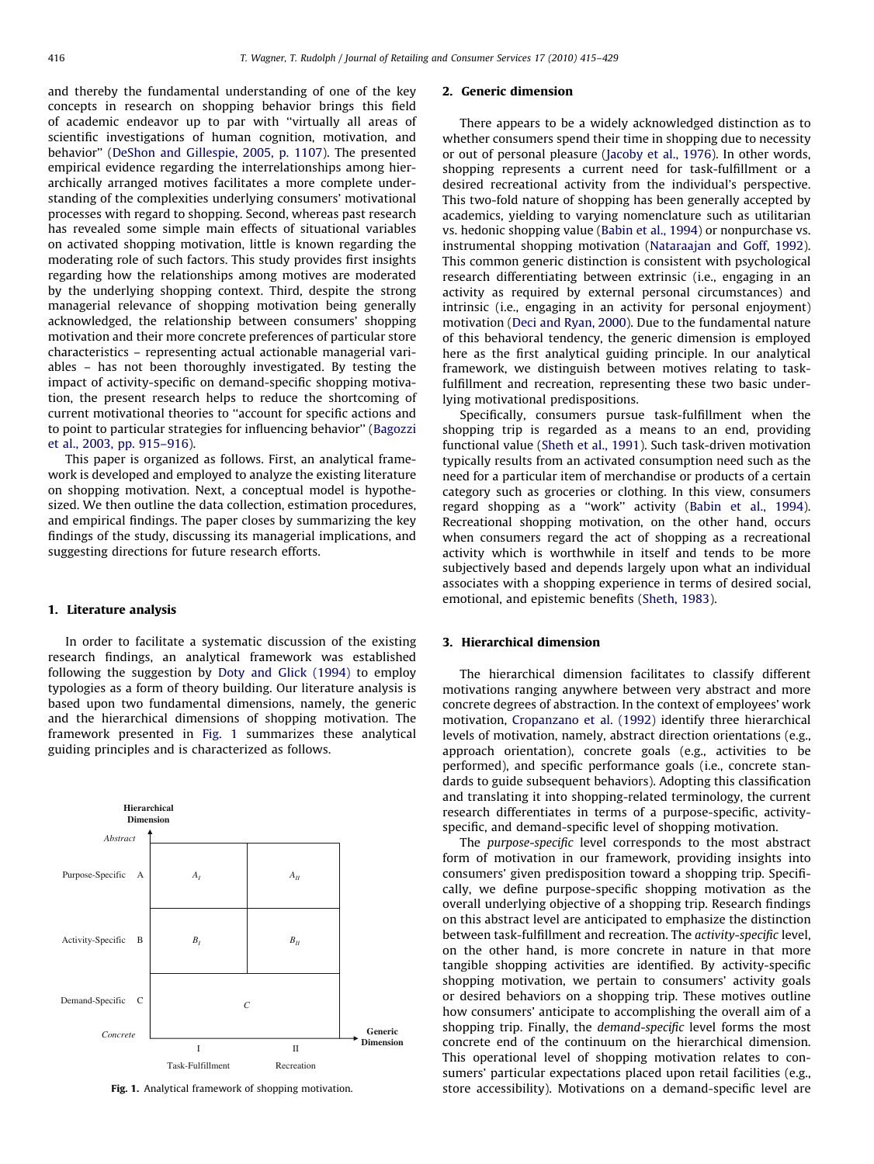and thereby the fundamental understanding of one of the key concepts in research on shopping behavior brings this field of academic endeavor up to par with ''virtually all areas of scientific investigations of human cognition, motivation, and behavior'' ([DeShon and Gillespie, 2005, p. 1107\)](#page--1-0). The presented empirical evidence regarding the interrelationships among hierarchically arranged motives facilitates a more complete understanding of the complexities underlying consumers' motivational processes with regard to shopping. Second, whereas past research has revealed some simple main effects of situational variables on activated shopping motivation, little is known regarding the moderating role of such factors. This study provides first insights regarding how the relationships among motives are moderated by the underlying shopping context. Third, despite the strong managerial relevance of shopping motivation being generally acknowledged, the relationship between consumers' shopping motivation and their more concrete preferences of particular store characteristics – representing actual actionable managerial variables – has not been thoroughly investigated. By testing the impact of activity-specific on demand-specific shopping motivation, the present research helps to reduce the shortcoming of current motivational theories to ''account for specific actions and to point to particular strategies for influencing behavior'' ([Bagozzi](#page--1-0) [et al., 2003, pp. 915–916\)](#page--1-0).

This paper is organized as follows. First, an analytical framework is developed and employed to analyze the existing literature on shopping motivation. Next, a conceptual model is hypothesized. We then outline the data collection, estimation procedures, and empirical findings. The paper closes by summarizing the key findings of the study, discussing its managerial implications, and suggesting directions for future research efforts.

#### 1. Literature analysis

In order to facilitate a systematic discussion of the existing research findings, an analytical framework was established following the suggestion by [Doty and Glick \(1994\)](#page--1-0) to employ typologies as a form of theory building. Our literature analysis is based upon two fundamental dimensions, namely, the generic and the hierarchical dimensions of shopping motivation. The framework presented in Fig. 1 summarizes these analytical guiding principles and is characterized as follows.



Fig. 1. Analytical framework of shopping motivation.

#### 2. Generic dimension

There appears to be a widely acknowledged distinction as to whether consumers spend their time in shopping due to necessity or out of personal pleasure [\(Jacoby et al., 1976\)](#page--1-0). In other words, shopping represents a current need for task-fulfillment or a desired recreational activity from the individual's perspective. This two-fold nature of shopping has been generally accepted by academics, yielding to varying nomenclature such as utilitarian vs. hedonic shopping value ([Babin et al., 1994\)](#page--1-0) or nonpurchase vs. instrumental shopping motivation [\(Nataraajan and Goff, 1992\)](#page--1-0). This common generic distinction is consistent with psychological research differentiating between extrinsic (i.e., engaging in an activity as required by external personal circumstances) and intrinsic (i.e., engaging in an activity for personal enjoyment) motivation [\(Deci and Ryan, 2000\)](#page--1-0). Due to the fundamental nature of this behavioral tendency, the generic dimension is employed here as the first analytical guiding principle. In our analytical framework, we distinguish between motives relating to taskfulfillment and recreation, representing these two basic underlying motivational predispositions.

Specifically, consumers pursue task-fulfillment when the shopping trip is regarded as a means to an end, providing functional value [\(Sheth et al., 1991](#page--1-0)). Such task-driven motivation typically results from an activated consumption need such as the need for a particular item of merchandise or products of a certain category such as groceries or clothing. In this view, consumers regard shopping as a ''work'' activity [\(Babin et al., 1994\)](#page--1-0). Recreational shopping motivation, on the other hand, occurs when consumers regard the act of shopping as a recreational activity which is worthwhile in itself and tends to be more subjectively based and depends largely upon what an individual associates with a shopping experience in terms of desired social, emotional, and epistemic benefits [\(Sheth, 1983\)](#page--1-0).

### 3. Hierarchical dimension

The hierarchical dimension facilitates to classify different motivations ranging anywhere between very abstract and more concrete degrees of abstraction. In the context of employees' work motivation, [Cropanzano et al. \(1992\)](#page--1-0) identify three hierarchical levels of motivation, namely, abstract direction orientations (e.g., approach orientation), concrete goals (e.g., activities to be performed), and specific performance goals (i.e., concrete standards to guide subsequent behaviors). Adopting this classification and translating it into shopping-related terminology, the current research differentiates in terms of a purpose-specific, activityspecific, and demand-specific level of shopping motivation.

The purpose-specific level corresponds to the most abstract form of motivation in our framework, providing insights into consumers' given predisposition toward a shopping trip. Specifically, we define purpose-specific shopping motivation as the overall underlying objective of a shopping trip. Research findings on this abstract level are anticipated to emphasize the distinction between task-fulfillment and recreation. The activity-specific level, on the other hand, is more concrete in nature in that more tangible shopping activities are identified. By activity-specific shopping motivation, we pertain to consumers' activity goals or desired behaviors on a shopping trip. These motives outline how consumers' anticipate to accomplishing the overall aim of a shopping trip. Finally, the *demand-specific* level forms the most concrete end of the continuum on the hierarchical dimension. This operational level of shopping motivation relates to consumers' particular expectations placed upon retail facilities (e.g., store accessibility). Motivations on a demand-specific level are